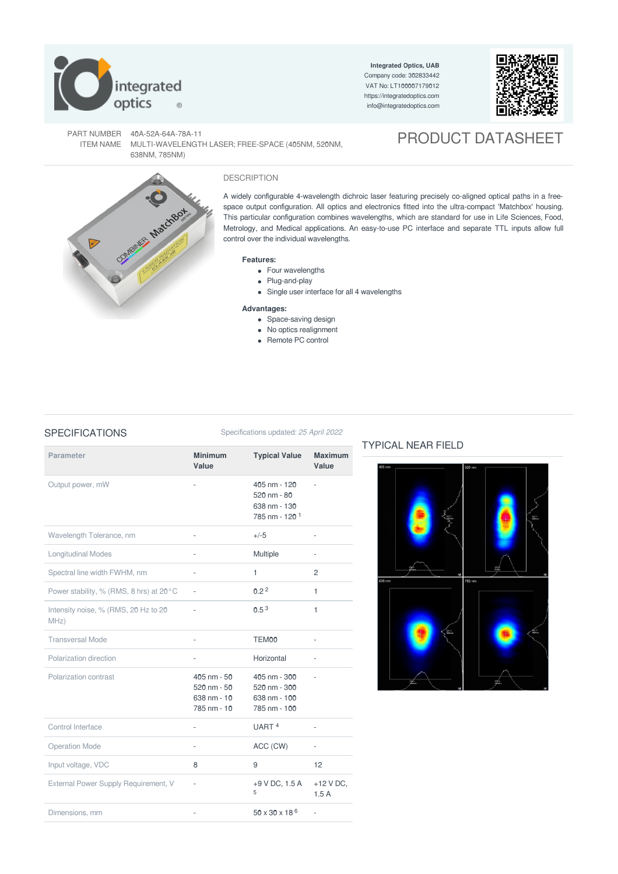

**Integrated Optics, UAB** Company code: 302833442 VAT No: LT100007179012 <https://integratedoptics.com> info@integratedoptics.com



PART NUMBER 40A-52A-64A-78A-11 ITEM NAME MULTI-WAVELENGTH LASER; FREE-SPACE (405NM, 520NM, 638NM, 785NM)

# PRODUCT DATASHEET



### DESCRIPTION

A widely configurable 4-wavelength dichroic laser featuring precisely co-aligned optical paths in a freespace output configuration. All optics and electronics fitted into the ultra-compact 'Matchbox' housing. This particular configuration combines wavelengths, which are standard for use in Life Sciences, Food, Metrology, and Medical applications. An easy-to-use PC interface and separate TTL inputs allow full control over the individual wavelengths.

### **Features:**

- Four wavelengths
- Plug-and-play
- Single user interface for all 4 wavelengths

### **Advantages:**

- Space-saving design
- No optics realignment
- Remote PC control

### SPECIFICATIONS Specifications updated: 25 April 2022

| <b>Parameter</b>                             | <b>Minimum</b><br>Value                                                                  | <b>Typical Value</b>                                                             | <b>Maximum</b><br>Value  |
|----------------------------------------------|------------------------------------------------------------------------------------------|----------------------------------------------------------------------------------|--------------------------|
| Output power, mW                             | ä,                                                                                       | 405 nm - 120<br>520 nm - 80<br>638 nm - 130<br>785 nm - 120 <sup>1</sup>         | ä,                       |
| Wavelength Tolerance, nm                     | ÷,                                                                                       | $+/-5$                                                                           | $\overline{\phantom{a}}$ |
| <b>Longitudinal Modes</b>                    | $\bar{a}$                                                                                | Multiple                                                                         | $\overline{\phantom{a}}$ |
| Spectral line width FWHM, nm                 | $\overline{\phantom{a}}$                                                                 | 1                                                                                | $\overline{c}$           |
| Power stability, % (RMS, 8 hrs) at 20°C      |                                                                                          | 0.2 <sup>2</sup>                                                                 | 1                        |
| Intensity noise, % (RMS, 20 Hz to 20<br>MHz) |                                                                                          | 0.5 <sup>3</sup>                                                                 | 1                        |
| <b>Transversal Mode</b>                      | ä,                                                                                       | TEM <sub>00</sub>                                                                | ä,                       |
| Polarization direction                       | $\frac{1}{2}$                                                                            | Horizontal                                                                       | ÷,                       |
| Polarization contrast                        | $405 \text{ nm} - 50$<br>$520 \, \text{nm} - 50$<br>$638 \text{ nm} - 10$<br>785 nm - 10 | $405 \text{ nm} - 300$<br>$520 \text{ nm} - 300$<br>638 nm - 100<br>785 nm - 100 |                          |
| Control Interface                            | ÷,                                                                                       | UART <sup>4</sup>                                                                | L,                       |
| <b>Operation Mode</b>                        | ä,                                                                                       | ACC (CW)                                                                         | L,                       |
| Input voltage, VDC                           | 8                                                                                        | 9                                                                                | 12                       |
| External Power Supply Requirement, V         | $\bar{a}$                                                                                | +9 V DC, 1.5 A<br>5                                                              | $+12$ V DC,<br>1.5A      |
| Dimensions, mm                               |                                                                                          | $50 \times 30 \times 18^{6}$                                                     |                          |

## TYPICAL NEAR FIELD